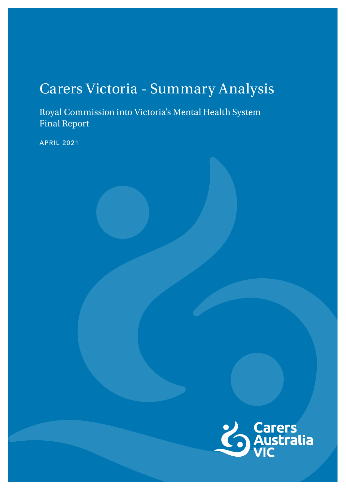### Carers Victoria - Summary Analysis

Royal Commission into Victoria's Mental Health System Final Report

APRIL 2021

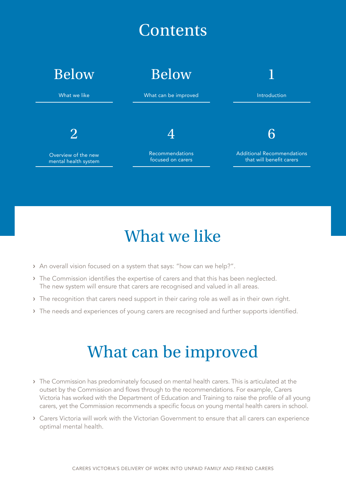### **Contents**



# What we like

- › An overall vision focused on a system that says: "how can we help?".
- › The Commission identifies the expertise of carers and that this has been neglected. The new system will ensure that carers are recognised and valued in all areas.
- > The recognition that carers need support in their caring role as well as in their own right.
- › The needs and experiences of young carers are recognised and further supports identified.

## What can be improved

- › The Commission has predominately focused on mental health carers. This is articulated at the outset by the Commission and flows through to the recommendations. For example, Carers Victoria has worked with the Department of Education and Training to raise the profile of all young carers, yet the Commission recommends a specific focus on young mental health carers in school.
- › Carers Victoria will work with the Victorian Government to ensure that all carers can experience optimal mental health.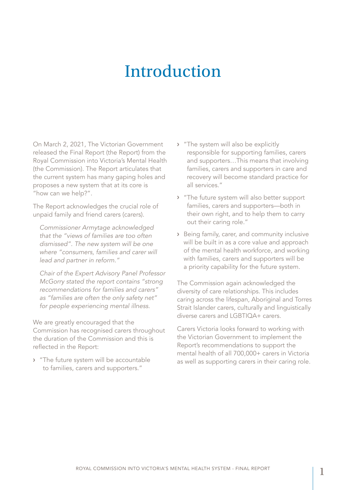### Introduction

On March 2, 2021, The Victorian Government released the Final Report (the Report) from the Royal Commission into Victoria's Mental Health (the Commission). The Report articulates that the current system has many gaping holes and proposes a new system that at its core is "how can we help?".

The Report acknowledges the crucial role of unpaid family and friend carers (carers).

*Commissioner Armytage acknowledged that the "views of families are too often dismissed". The new system will be one where "consumers, families and carer will lead and partner in reform."* 

*Chair of the Expert Advisory Panel Professor McGorry stated the report contains "strong recommendations for families and carers" as "families are often the only safety net" for people experiencing mental illness.* 

We are greatly encouraged that the Commission has recognised carers throughout the duration of the Commission and this is reflected in the Report:

› "The future system will be accountable to families, carers and supporters."

- › "The system will also be explicitly responsible for supporting families, carers and supporters…This means that involving families, carers and supporters in care and recovery will become standard practice for all services."
- › "The future system will also better support families, carers and supporters—both in their own right, and to help them to carry out their caring role."
- › Being family, carer, and community inclusive will be built in as a core value and approach of the mental health workforce, and working with families, carers and supporters will be a priority capability for the future system.

The Commission again acknowledged the diversity of care relationships. This includes caring across the lifespan, Aboriginal and Torres Strait Islander carers, culturally and linguistically diverse carers and LGBTIQA+ carers.

Carers Victoria looks forward to working with the Victorian Government to implement the Report's recommendations to support the mental health of all 700,000+ carers in Victoria as well as supporting carers in their caring role.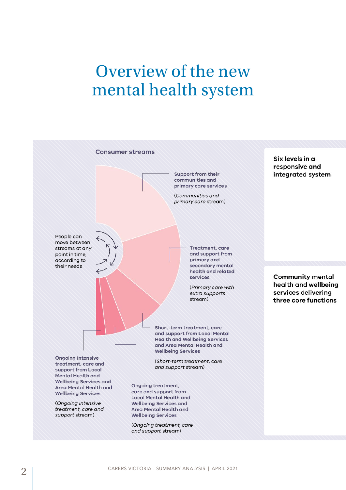### **Overview of the new** mental health system

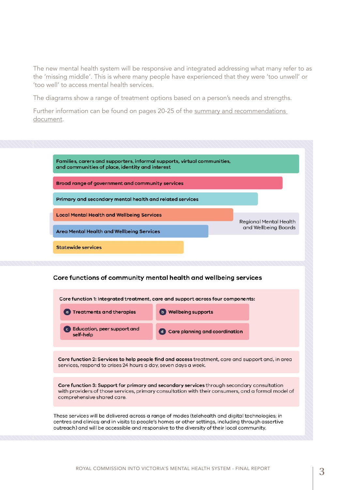The new mental health system will be responsive and integrated addressing what many refer to as the 'missing middle'. This is where many people have experienced that they were 'too unwell' or 'too well' to access mental health services.

The diagrams show a range of treatment options based on a person's needs and strengths.

Further information can be found on pages 20-25 of the summary and recommendations [document](https://finalreport.rcvmhs.vic.gov.au/download-report/).

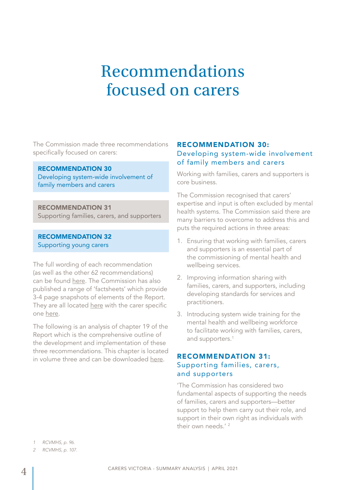### Recommendations focused on carers

The Commission made three recommendations specifically focused on carers:

#### RECOMMENDATION 30

Developing system-wide involvement of family members and carers

#### RECOMMENDATION 31

Supporting families, carers, and supporters

#### RECOMMENDATION 32 Supporting young carers

The full wording of each recommendation (as well as the other 62 recommendations) can be found [here](https://finalreport.rcvmhs.vic.gov.au/recommendations/). The Commission has also published a range of 'factsheets' which provide 3-4 page snapshots of elements of the Report. They are all located [here](https://finalreport.rcvmhs.vic.gov.au/fact-sheets/) with the carer specific one [here](https://finalreport.rcvmhs.vic.gov.au/wp-content/uploads/2021/01/Fact-Sheet-%E2%80%93-Families-carers-and-supporters.pdf).

The following is an analysis of chapter 19 of the Report which is the comprehensive outline of the development and implementation of these three recommendations. This chapter is located in volume three and can be downloaded [here](https://finalreport.rcvmhs.vic.gov.au/download-report/).

### RECOMMENDATION 30: Developing system-wide involvement of family members and carers

Working with families, carers and supporters is core business.

The Commission recognised that carers' expertise and input is often excluded by mental health systems. The Commission said there are many barriers to overcome to address this and puts the required actions in three areas:

- 1. Ensuring that working with families, carers and supporters is an essential part of the commissioning of mental health and wellbeing services.
- 2. Improving information sharing with families, carers, and supporters, including developing standards for services and practitioners.
- 3. Introducing system wide training for the mental health and wellbeing workforce to facilitate working with families, carers, and supporters.<sup>1</sup>

#### RECOMMENDATION 31: Supporting families, carers, and supporters

'The Commission has considered two fundamental aspects of supporting the needs of families, carers and supporters—better support to help them carry out their role, and support in their own right as individuals with their own needs.' <sup>2</sup>

*<sup>1</sup> RCVMHS, p. 96.*

*<sup>2</sup> RCVMHS, p. 107.*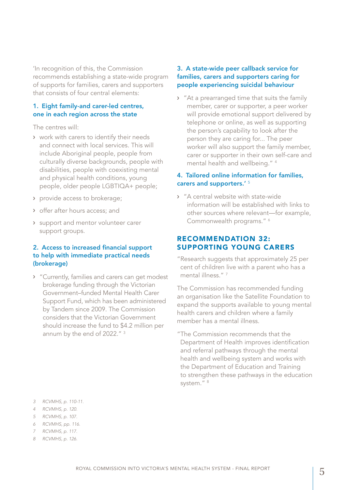'In recognition of this, the Commission recommends establishing a state-wide program of supports for families, carers and supporters that consists of four central elements:

#### 1. Eight family-and carer-led centres, one in each region across the state

The centres will:

- › work with carers to identify their needs and connect with local services. This will include Aboriginal people, people from culturally diverse backgrounds, people with disabilities, people with coexisting mental and physical health conditions, young people, older people LGBTIQA+ people;
- › provide access to brokerage;
- › offer after hours access; and
- › support and mentor volunteer carer support groups.

#### 2. Access to increased financial support to help with immediate practical needs (brokerage)

› "Currently, families and carers can get modest brokerage funding through the Victorian Government–funded Mental Health Carer Support Fund, which has been administered by Tandem since 2009. The Commission considers that the Victorian Government should increase the fund to \$4.2 million per annum by the end of 2022." <sup>3</sup>

#### 3. A state-wide peer callback service for families, carers and supporters caring for people experiencing suicidal behaviour

› "At a prearranged time that suits the family member, carer or supporter, a peer worker will provide emotional support delivered by telephone or online, as well as supporting the person's capability to look after the person they are caring for... The peer worker will also support the family member, carer or supporter in their own self-care and mental health and wellbeing." 4

#### 4. Tailored online information for families, carers and supporters.' <sup>5</sup>

› "A central website with state-wide information will be established with links to other sources where relevant—for example, Commonwealth programs." 6

#### RECOMMENDATION 32: SUPPORTING YOUNG CARERS

"Research suggests that approximately 25 per cent of children live with a parent who has a mental illness."<sup>7</sup>

The Commission has recommended funding an organisation like the Satellite Foundation to expand the supports available to young mental health carers and children where a family member has a mental illness.

"The Commission recommends that the Department of Health improves identification and referral pathways through the mental health and wellbeing system and works with the Department of Education and Training to strengthen these pathways in the education system."<sup>8</sup>

- *4 RCVMHS, p. 120.*
- *5 RCVMHS, p. 107.*
- *6 RCVMHS, pp. 116.*
- *7 RCVMHS, p. 117.*
- *8 RCVMHS, p. 126.*

*<sup>3</sup> RCVMHS, p. 110-11.*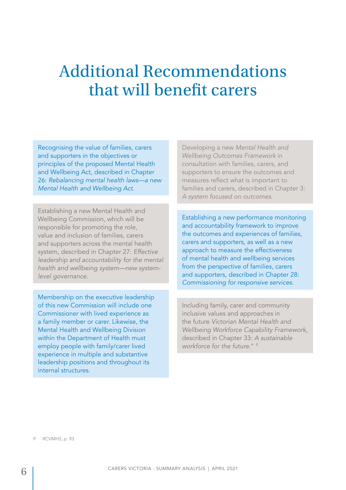### Additional Recommendations that will benefit carers

Recognising the value of families, carers and supporters in the objectives or principles of the proposed Mental Health and Wellbeing Act, described in Chapter 26: *Rebalancing mental health laws—a new Mental Health and Wellbeing Act.*

Establishing a new Mental Health and Wellbeing Commission, which will be responsible for promoting the role, value and inclusion of families, carers and supporters across the mental health system, described in Chapter 27: *Effective leadership and accountability for the mental health and wellbeing system—new systemlevel governance.*

Membership on the executive leadership of this new Commission will include one Commissioner with lived experience as a family member or carer. Likewise, the Mental Health and Wellbeing Division within the Department of Health must employ people with family/carer lived experience in multiple and substantive leadership positions and throughout its internal structures.

Developing a new *Mental Health and Wellbeing Outcomes Framework* in consultation with families, carers, and supporters to ensure the outcomes and measures reflect what is important to families and carers, described in Chapter 3: *A system focused on outcomes.*

Establishing a new performance monitoring and accountability framework to improve the outcomes and experiences of families, carers and supporters, as well as a new approach to measure the effectiveness of mental health and wellbeing services from the perspective of families, carers and supporters, described in Chapter 28: *Commissioning for responsive services.*

Including family, carer and community inclusive values and approaches in the future *Victorian Mental Health and Wellbeing Workforce Capability Framework*, described in Chapter 33: *A sustainable workforce for the future.*" <sup>9</sup>

*9 RCVMHS, p. 93.*